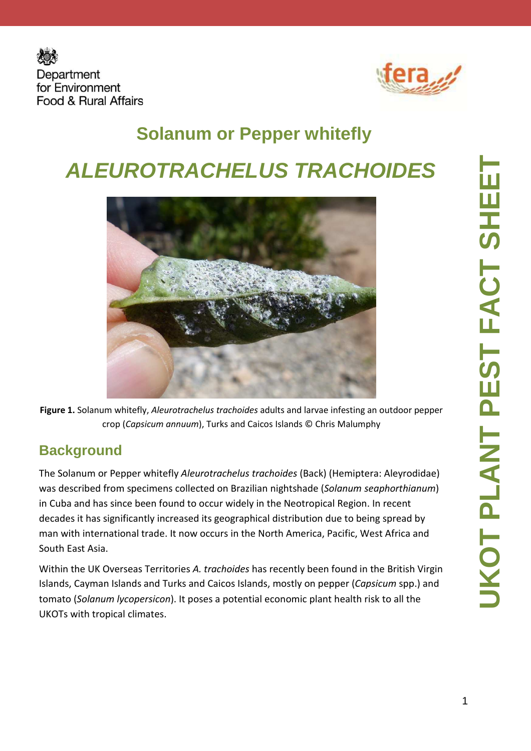



# **Solanum or Pepper whitefly ALEUROTRACHELUS TRACHOIDES**



**Figure 1.** Solanum whitefly, *Aleurotrachelus trachoides* adults and larvae infesting an outdoor pepper crop (*Capsicum annuum*), Turks and Caicos Islands © Chris Malumphy

#### **Background**

The Solanum or Pepper whitefly *Aleurotrachelus trachoides* (Back) (Hemiptera: Aleyrodidae) was described from specimens collected on Brazilian nightshade (*Solanum seaphorthianum*) in Cuba and has since been found to occur widely in the Neotropical Region. In recent decades it has significantly increased its geographical distribution due to being spread by man with international trade. It now occurs in the North America, Pacific, West Africa and South East Asia.

Within the UK Overseas Territories *A. trachoides* has recently been found in the British Virgin Islands, Cayman Islands and Turks and Caicos Islands, mostly on pepper (*Capsicum* spp.) and tomato (*Solanum lycopersicon*). It poses a potential economic plant health risk to all the UKOTs with tropical climates.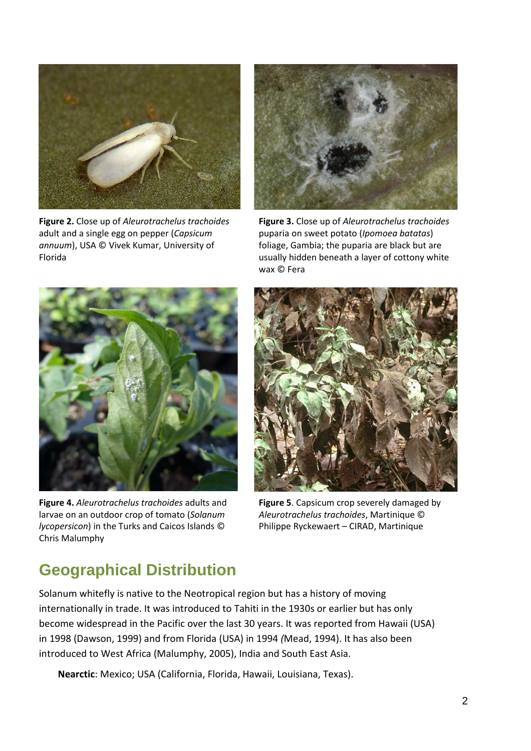

**Figure 2.** Close up of *Aleurotrachelus trachoides*  adult and a single egg on pepper (*Capsicum annuum*), USA © Vivek Kumar, University of Florida



**Figure 3.** Close up of *Aleurotrachelus trachoides*  puparia on sweet potato (*Ipomoea batatas*) foliage, Gambia; the puparia are black but are usually hidden beneath a layer of cottony white wax © Fera



**Figure 4.** *Aleurotrachelus trachoides* adults and larvae on an outdoor crop of tomato (*Solanum lycopersicon*) in the Turks and Caicos Islands © Chris Malumphy



**Figure 5**. Capsicum crop severely damaged by *Aleurotrachelus trachoides*, Martinique © Philippe Ryckewaert – CIRAD, Martinique

#### **Geographical Distribution**

Solanum whitefly is native to the Neotropical region but has a history of moving internationally in trade. It was introduced to Tahiti in the 1930s or earlier but has only become widespread in the Pacific over the last 30 years. It was reported from Hawaii (USA) in 1998 (Dawson, 1999) and from Florida (USA) in 1994 *(*Mead, 1994). It has also been introduced to West Africa (Malumphy, 2005), India and South East Asia.

**Nearctic**: Mexico; USA (California, Florida, Hawaii, Louisiana, Texas).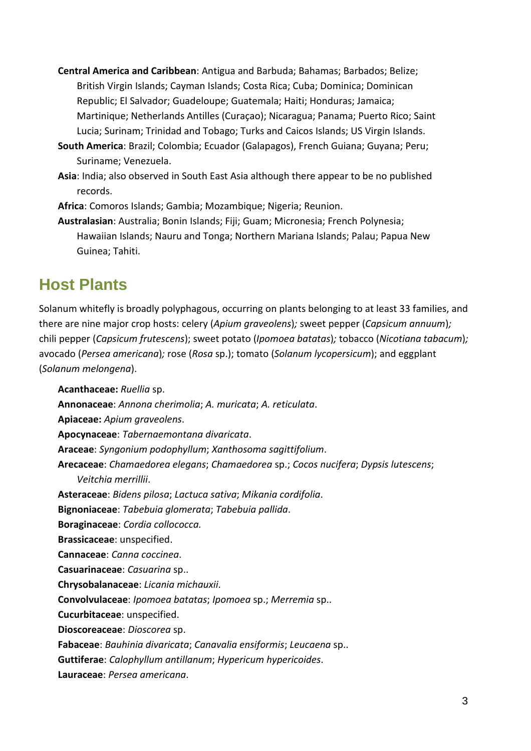- **Central America and Caribbean**: Antigua and Barbuda; Bahamas; Barbados; Belize; British Virgin Islands; Cayman Islands; Costa Rica; Cuba; Dominica; Dominican Republic; El Salvador; Guadeloupe; Guatemala; Haiti; Honduras; Jamaica; Martinique; Netherlands Antilles (Curaçao); Nicaragua; Panama; Puerto Rico; Saint Lucia; Surinam; Trinidad and Tobago; Turks and Caicos Islands; US Virgin Islands.
- **South America**: Brazil; Colombia; Ecuador (Galapagos), French Guiana; Guyana; Peru; Suriname; Venezuela.
- **Asia**: India; also observed in South East Asia although there appear to be no published records.
- **Africa**: Comoros Islands; Gambia; Mozambique; Nigeria; Reunion.
- **Australasian**: Australia; Bonin Islands; Fiji; Guam; Micronesia; French Polynesia; Hawaiian Islands; Nauru and Tonga; Northern Mariana Islands; Palau; Papua New Guinea; Tahiti.

#### **Host Plants**

Solanum whitefly is broadly polyphagous, occurring on plants belonging to at least 33 families, and there are nine major crop hosts: celery (*Apium graveolens*)*;* sweet pepper (*Capsicum annuum*)*;*  chili pepper (*Capsicum frutescens*); sweet potato (*Ipomoea batatas*)*;* tobacco (*Nicotiana tabacum*)*;*  avocado (*Persea americana*)*;* rose (*Rosa* sp.); tomato (*Solanum lycopersicum*); and eggplant (*Solanum melongena*).

**Acanthaceae:** *Ruellia* sp. **Annonaceae**: *Annona cherimolia*; *A. muricata*; *A. reticulata*. **Apiaceae:** *Apium graveolens*. **Apocynaceae**: *Tabernaemontana divaricata*. **Araceae**: *Syngonium podophyllum*; *Xanthosoma sagittifolium*. **Arecaceae**: *Chamaedorea elegans*; *Chamaedorea* sp.; *Cocos nucifera*; *Dypsis lutescens*; *Veitchia merrillii*. **Asteraceae**: *Bidens pilosa*; *Lactuca sativa*; *Mikania cordifolia*. **Bignoniaceae**: *Tabebuia glomerata*; *Tabebuia pallida*. **Boraginaceae**: *Cordia collococca.*  **Brassicaceae**: unspecified. **Cannaceae**: *Canna coccinea*. **Casuarinaceae**: *Casuarina* sp.. **Chrysobalanaceae**: *Licania michauxii*. **Convolvulaceae**: *Ipomoea batatas*; *Ipomoea* sp.; *Merremia* sp.. **Cucurbitaceae**: unspecified. **Dioscoreaceae**: *Dioscorea* sp. **Fabaceae**: *Bauhinia divaricata*; *Canavalia ensiformis*; *Leucaena* sp.. **Guttiferae**: *Calophyllum antillanum*; *Hypericum hypericoides*. **Lauraceae**: *Persea americana*.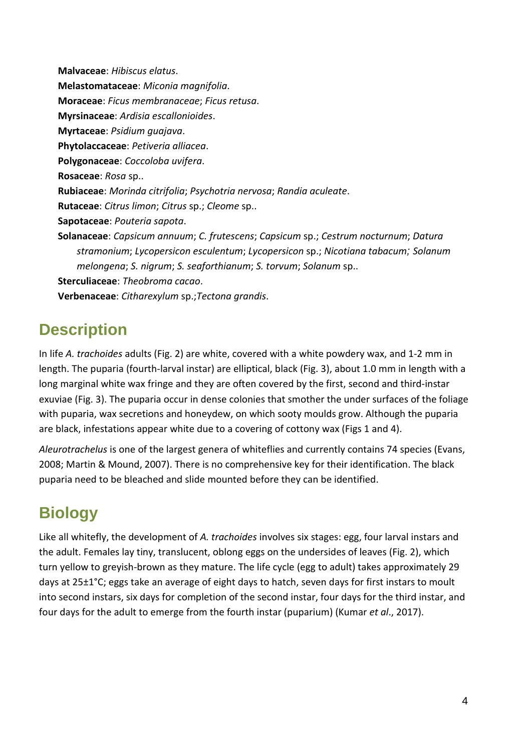**Malvaceae**: *Hibiscus elatus*. **Melastomataceae**: *Miconia magnifolia*. **Moraceae**: *Ficus membranaceae*; *Ficus retusa*. **Myrsinaceae**: *Ardisia escallonioides*. **Myrtaceae**: *Psidium guajava*. **Phytolaccaceae**: *Petiveria alliacea*. **Polygonaceae**: *Coccoloba uvifera*. **Rosaceae**: *Rosa* sp.. **Rubiaceae**: *Morinda citrifolia*; *Psychotria nervosa*; *Randia aculeate*. **Rutaceae**: *Citrus limon*; *Citrus* sp.; *Cleome* sp.. **Sapotaceae**: *Pouteria sapota*. **Solanaceae**: *Capsicum annuum*; *C. frutescens*; *Capsicum* sp.; *Cestrum nocturnum*; *Datura stramonium*; *Lycopersicon esculentum*; *Lycopersicon* sp.; *Nicotiana tabacum*; *Solanum melongena*; *S. nigrum*; *S. seaforthianum*; *S. torvum*; *Solanum* sp.. **Sterculiaceae**: *Theobroma cacao*. **Verbenaceae**: *Citharexylum* sp.;*Tectona grandis*.

#### **Description**

In life *A. trachoides* adults (Fig. 2) are white, covered with a white powdery wax, and 1-2 mm in length. The puparia (fourth-larval instar) are elliptical, black (Fig. 3), about 1.0 mm in length with a long marginal white wax fringe and they are often covered by the first, second and third-instar exuviae (Fig. 3). The puparia occur in dense colonies that smother the under surfaces of the foliage with puparia, wax secretions and honeydew, on which sooty moulds grow. Although the puparia are black, infestations appear white due to a covering of cottony wax (Figs 1 and 4).

*Aleurotrachelus* is one of the largest genera of whiteflies and currently contains 74 species (Evans, 2008; Martin & Mound, 2007). There is no comprehensive key for their identification. The black puparia need to be bleached and slide mounted before they can be identified.

## **Biology**

Like all whitefly, the development of *A. trachoides* involves six stages: egg, four larval instars and the adult. Females lay tiny, translucent, oblong eggs on the undersides of leaves (Fig. 2), which turn yellow to greyish-brown as they mature. The life cycle (egg to adult) takes approximately 29 days at 25±1°C; eggs take an average of eight days to hatch, seven days for first instars to moult into second instars, six days for completion of the second instar, four days for the third instar, and four days for the adult to emerge from the fourth instar (puparium) (Kumar *et al*., 2017).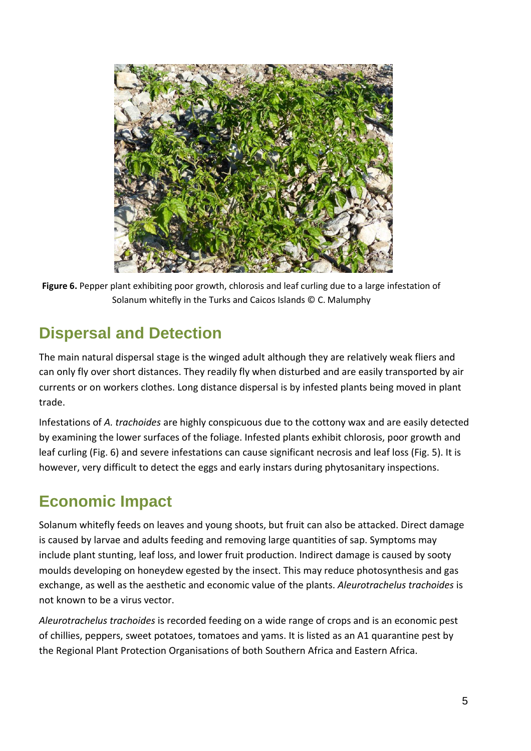

**Figure 6.** Pepper plant exhibiting poor growth, chlorosis and leaf curling due to a large infestation of Solanum whitefly in the Turks and Caicos Islands © C. Malumphy

#### **Dispersal and Detection**

The main natural dispersal stage is the winged adult although they are relatively weak fliers and can only fly over short distances. They readily fly when disturbed and are easily transported by air currents or on workers clothes. Long distance dispersal is by infested plants being moved in plant trade.

Infestations of *A. trachoides* are highly conspicuous due to the cottony wax and are easily detected by examining the lower surfaces of the foliage. Infested plants exhibit chlorosis, poor growth and leaf curling (Fig. 6) and severe infestations can cause significant necrosis and leaf loss (Fig. 5). It is however, very difficult to detect the eggs and early instars during phytosanitary inspections.

## **Economic Impact**

Solanum whitefly feeds on leaves and young shoots, but fruit can also be attacked. Direct damage is caused by larvae and adults feeding and removing large quantities of sap. Symptoms may include plant stunting, leaf loss, and lower fruit production. Indirect damage is caused by sooty moulds developing on honeydew egested by the insect. This may reduce photosynthesis and gas exchange, as well as the aesthetic and economic value of the plants. *Aleurotrachelus trachoides* is not known to be a virus vector.

*Aleurotrachelus trachoides* is recorded feeding on a wide range of crops and is an economic pest of chillies, peppers, sweet potatoes, tomatoes and yams. It is listed as an A1 quarantine pest by the Regional Plant Protection Organisations of both Southern Africa and Eastern Africa.